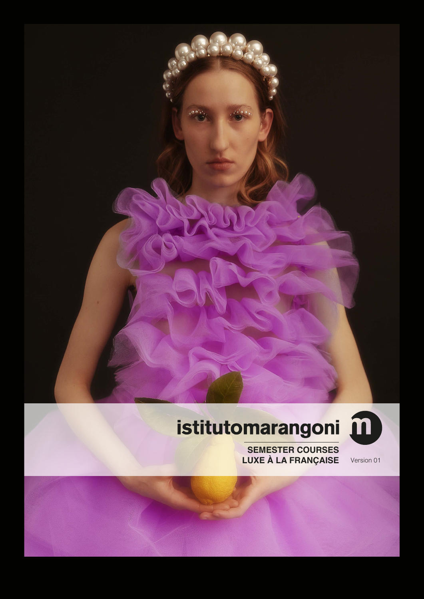

# istitutomarangoni ii



**SEMESTER COURSES** LUXE À LA FRANÇAISE

Version 01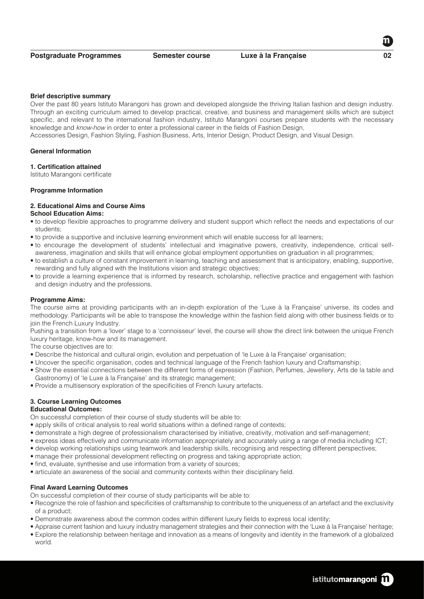#### **Brief descriptive summary**

Over the past 80 years Istituto Marangoni has grown and developed alongside the thriving Italian fashion and design industry. Through an exciting curriculum aimed to develop practical, creative, and business and management skills which are subject specific, and relevant to the international fashion industry, Istituto Marangoni courses prepare students with the necessary knowledge and *know-how* in order to enter a professional career in the fields of Fashion Design,

Accessories Design, Fashion Styling, Fashion Business, Arts, Interior Design, Product Design, and Visual Design.

#### **General Information**

#### **1. Certification attained**

Istituto Marangoni certificate

# **Programme Information**

# **2. Educational Aims and Course Aims**

# **School Education Aims:**

- to develop flexible approaches to programme delivery and student support which reflect the needs and expectations of our students;
- to provide a supportive and inclusive learning environment which will enable success for all learners;
- to encourage the development of students' intellectual and imaginative powers, creativity, independence, critical selfawareness, imagination and skills that will enhance global employment opportunities on graduation in all programmes;
- to establish a culture of constant improvement in learning, teaching and assessment that is anticipatory, enabling, supportive, rewarding and fully aligned with the Institutions vision and strategic objectives;
- to provide a learning experience that is informed by research, scholarship, reflective practice and engagement with fashion and design industry and the professions.

#### **Programme Aims:**

The course aims at providing participants with an in-depth exploration of the 'Luxe à la Française' universe, its codes and methodology. Participants will be able to transpose the knowledge within the fashion field along with other business fields or to join the French Luxury Industry.

Pushing a transition from a 'lover' stage to a 'connoisseur' level, the course will show the direct link between the unique French luxury heritage, know-how and its management.

The course objectives are to:

- Describe the historical and cultural origin, evolution and perpetuation of 'le Luxe à la Française' organisation;
- Uncover the specific organisation, codes and technical language of the French fashion luxury and Craftsmanship;
- Show the essential connections between the different forms of expression (Fashion, Perfumes, Jewellery, Arts de la table and Gastronomy) of 'le Luxe à la Française' and its strategic management;
- Provide a multisensory exploration of the specificities of French luxury artefacts.

# **3. Course Learning Outcomes**

# **Educational Outcomes:**

On successful completion of their course of study students will be able to:

- apply skills of critical analysis to real world situations within a defined range of contexts;
- demonstrate a high degree of professionalism characterised by initiative, creativity, motivation and self-management;
- express ideas effectively and communicate information appropriately and accurately using a range of media including ICT;
- develop working relationships using teamwork and leadership skills, recognising and respecting different perspectives;
- manage their professional development reflecting on progress and taking appropriate action;
- find, evaluate, synthesise and use information from a variety of sources;
- articulate an awareness of the social and community contexts within their disciplinary field.

# **Final Award Learning Outcomes**

- On successful completion of their course of study participants will be able to:
- Recognize the role of fashion and specificities of craftsmanship to contribute to the uniqueness of an artefact and the exclusivity of a product;
- Demonstrate awareness about the common codes within different luxury fields to express local identity;
- Appraise current fashion and luxury industry management strategies and their connection with the 'Luxe à la Française' heritage; • Explore the relationship between heritage and innovation as a means of longevity and identity in the framework of a globalized world.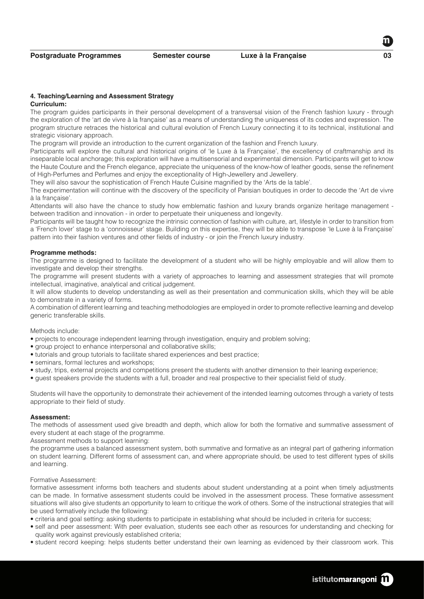#### **4. Teaching/Learning and Assessment Strategy Curriculum:**

The program guides participants in their personal development of a transversal vision of the French fashion luxury - through the exploration of the 'art de vivre à la française' as a means of understanding the uniqueness of its codes and expression. The program structure retraces the historical and cultural evolution of French Luxury connecting it to its technical, institutional and strategic visionary approach.

The program will provide an introduction to the current organization of the fashion and French luxury.

Participants will explore the cultural and historical origins of 'le Luxe à la Française', the excellency of craftmanship and its inseparable local anchorage; this exploration will have a multisensorial and experimental dimension. Participants will get to know the Haute Couture and the French elegance, appreciate the uniqueness of the know-how of leather goods, sense the refinement of High-Perfumes and Perfumes and enjoy the exceptionality of High-Jewellery and Jewellery.

They will also savour the sophistication of French Haute Cuisine magnified by the 'Arts de la table'.

The experimentation will continue with the discovery of the specificity of Parisian boutiques in order to decode the 'Art de vivre à la française'.

Attendants will also have the chance to study how emblematic fashion and luxury brands organize heritage management between tradition and innovation - in order to perpetuate their uniqueness and longevity.

Participants will be taught how to recognize the intrinsic connection of fashion with culture, art, lifestyle in order to transition from a 'French lover' stage to a 'connoisseur' stage. Building on this expertise, they will be able to transpose 'le Luxe à la Française' pattern into their fashion ventures and other fields of industry - or join the French luxury industry.

# **Programme methods:**

The programme is designed to facilitate the development of a student who will be highly employable and will allow them to investigate and develop their strengths.

The programme will present students with a variety of approaches to learning and assessment strategies that will promote intellectual, imaginative, analytical and critical judgement.

It will allow students to develop understanding as well as their presentation and communication skills, which they will be able to demonstrate in a variety of forms.

A combination of different learning and teaching methodologies are employed in order to promote reflective learning and develop generic transferable skills.

Methods include:

- projects to encourage independent learning through investigation, enquiry and problem solving;
- group project to enhance interpersonal and collaborative skills;
- tutorials and group tutorials to facilitate shared experiences and best practice;
- seminars, formal lectures and workshops;
- study, trips, external projects and competitions present the students with another dimension to their leaning experience;
- guest speakers provide the students with a full, broader and real prospective to their specialist field of study.

Students will have the opportunity to demonstrate their achievement of the intended learning outcomes through a variety of tests appropriate to their field of study.

# **Assessment:**

The methods of assessment used give breadth and depth, which allow for both the formative and summative assessment of every student at each stage of the programme.

Assessment methods to support learning:

the programme uses a balanced assessment system, both summative and formative as an integral part of gathering information on student learning. Different forms of assessment can, and where appropriate should, be used to test different types of skills and learning.

#### Formative Assessment:

formative assessment informs both teachers and students about student understanding at a point when timely adjustments can be made. In formative assessment students could be involved in the assessment process. These formative assessment situations will also give students an opportunity to learn to critique the work of others. Some of the instructional strategies that will be used formatively include the following:

- criteria and goal setting: asking students to participate in establishing what should be included in criteria for success;
- self and peer assessment: With peer evaluation, students see each other as resources for understanding and checking for quality work against previously established criteria;
- student record keeping: helps students better understand their own learning as evidenced by their classroom work. This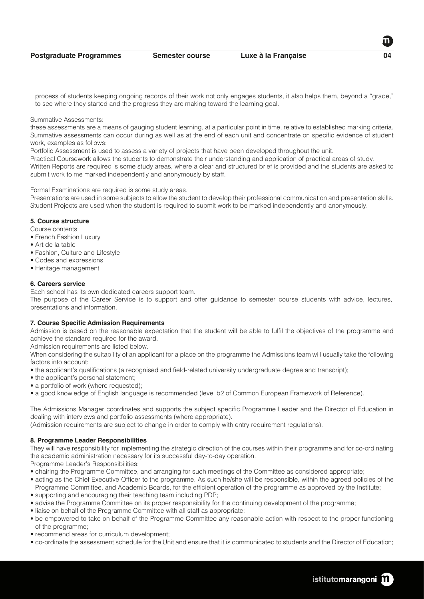**Postgraduate Programmes Semester course Luxe à la Française 04**

process of students keeping ongoing records of their work not only engages students, it also helps them, beyond a "grade," to see where they started and the progress they are making toward the learning goal.

#### Summative Assessments:

these assessments are a means of gauging student learning, at a particular point in time, relative to established marking criteria. Summative assessments can occur during as well as at the end of each unit and concentrate on specific evidence of student work, examples as follows:

Portfolio Assessment is used to assess a variety of projects that have been developed throughout the unit.

Practical Coursework allows the students to demonstrate their understanding and application of practical areas of study. Written Reports are required is some study areas, where a clear and structured brief is provided and the students are asked to submit work to me marked independently and anonymously by staff.

Formal Examinations are required is some study areas.

Presentations are used in some subjects to allow the student to develop their professional communication and presentation skills. Student Projects are used when the student is required to submit work to be marked independently and anonymously.

# **5. Course structure**

Course contents

- French Fashion Luxury
- Art de la table
- Fashion, Culture and Lifestyle
- Codes and expressions
- Heritage management

# **6. Careers service**

Each school has its own dedicated careers support team.

The purpose of the Career Service is to support and offer guidance to semester course students with advice, lectures, presentations and information.

# **7. Course Specific Admission Requirements**

Admission is based on the reasonable expectation that the student will be able to fulfil the objectives of the programme and achieve the standard required for the award.

Admission requirements are listed below.

When considering the suitability of an applicant for a place on the programme the Admissions team will usually take the following factors into account:

- the applicant's qualifications (a recognised and field-related university undergraduate degree and transcript);
- the applicant's personal statement;
- a portfolio of work (where requested);
- a good knowledge of English language is recommended (level b2 of Common European Framework of Reference).

The Admissions Manager coordinates and supports the subject specific Programme Leader and the Director of Education in dealing with interviews and portfolio assessments (where appropriate).

(Admission requirements are subject to change in order to comply with entry requirement regulations).

# **8. Programme Leader Responsibilities**

They will have responsibility for implementing the strategic direction of the courses within their programme and for co-ordinating the academic administration necessary for its successful day-to-day operation.

Programme Leader's Responsibilities:

- chairing the Programme Committee, and arranging for such meetings of the Committee as considered appropriate;
- acting as the Chief Executive Officer to the programme. As such he/she will be responsible, within the agreed policies of the Programme Committee, and Academic Boards, for the efficient operation of the programme as approved by the Institute;
- supporting and encouraging their teaching team including PDP;
- advise the Programme Committee on its proper responsibility for the continuing development of the programme;
- liaise on behalf of the Programme Committee with all staff as appropriate;
- be empowered to take on behalf of the Programme Committee any reasonable action with respect to the proper functioning of the programme;
- recommend areas for curriculum development;
- co-ordinate the assessment schedule for the Unit and ensure that it is communicated to students and the Director of Education;